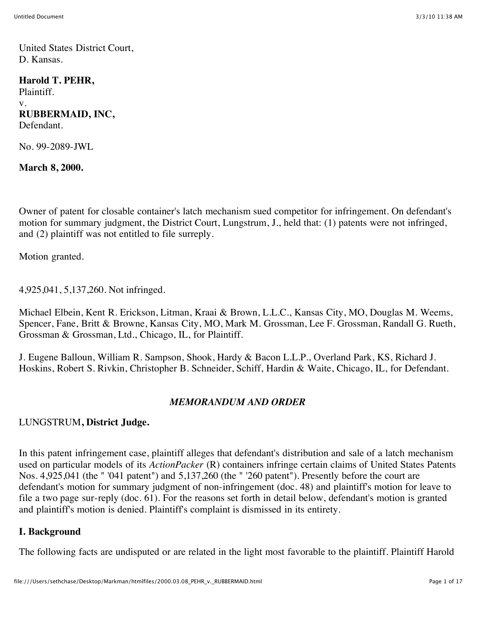United States District Court, D. Kansas.

### **Harold T. PEHR,**

Plaintiff. v. **RUBBERMAID, INC,** Defendant.

No. 99-2089-JWL

**March 8, 2000.**

Owner of patent for closable container's latch mechanism sued competitor for infringement. On defendant's motion for summary judgment, the District Court, Lungstrum, J., held that: (1) patents were not infringed, and (2) plaintiff was not entitled to file surreply.

Motion granted.

4,925,041, 5,137,260. Not infringed.

Michael Elbein, Kent R. Erickson, Litman, Kraai & Brown, L.L.C., Kansas City, MO, Douglas M. Weems, Spencer, Fane, Britt & Browne, Kansas City, MO, Mark M. Grossman, Lee F. Grossman, Randall G. Rueth, Grossman & Grossman, Ltd., Chicago, IL, for Plaintiff.

J. Eugene Balloun, William R. Sampson, Shook, Hardy & Bacon L.L.P., Overland Park, KS, Richard J. Hoskins, Robert S. Rivkin, Christopher B. Schneider, Schiff, Hardin & Waite, Chicago, IL, for Defendant.

## *MEMORANDUM AND ORDER*

#### LUNGSTRUM**, District Judge.**

In this patent infringement case, plaintiff alleges that defendant's distribution and sale of a latch mechanism used on particular models of its *ActionPacker* (R) containers infringe certain claims of United States Patents Nos. 4,925,041 (the " '041 patent") and 5,137,260 (the " '260 patent"). Presently before the court are defendant's motion for summary judgment of non-infringement (doc. 48) and plaintiff's motion for leave to file a two page sur-reply (doc. 61). For the reasons set forth in detail below, defendant's motion is granted and plaintiff's motion is denied. Plaintiff's complaint is dismissed in its entirety.

#### **I. Background**

The following facts are undisputed or are related in the light most favorable to the plaintiff. Plaintiff Harold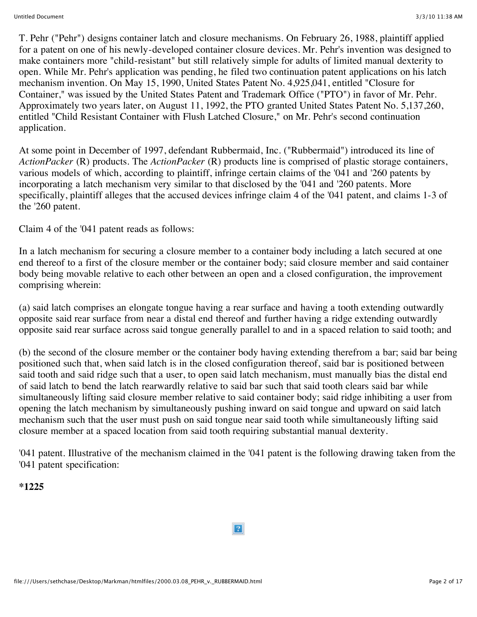T. Pehr ("Pehr") designs container latch and closure mechanisms. On February 26, 1988, plaintiff applied for a patent on one of his newly-developed container closure devices. Mr. Pehr's invention was designed to make containers more "child-resistant" but still relatively simple for adults of limited manual dexterity to open. While Mr. Pehr's application was pending, he filed two continuation patent applications on his latch mechanism invention. On May 15, 1990, United States Patent No. 4,925,041, entitled "Closure for Container," was issued by the United States Patent and Trademark Office ("PTO") in favor of Mr. Pehr. Approximately two years later, on August 11, 1992, the PTO granted United States Patent No. 5,137,260, entitled "Child Resistant Container with Flush Latched Closure," on Mr. Pehr's second continuation application.

At some point in December of 1997, defendant Rubbermaid, Inc. ("Rubbermaid") introduced its line of *ActionPacker* (R) products. The *ActionPacker* (R) products line is comprised of plastic storage containers, various models of which, according to plaintiff, infringe certain claims of the '041 and '260 patents by incorporating a latch mechanism very similar to that disclosed by the '041 and '260 patents. More specifically, plaintiff alleges that the accused devices infringe claim 4 of the '041 patent, and claims 1-3 of the '260 patent.

Claim 4 of the '041 patent reads as follows:

In a latch mechanism for securing a closure member to a container body including a latch secured at one end thereof to a first of the closure member or the container body; said closure member and said container body being movable relative to each other between an open and a closed configuration, the improvement comprising wherein:

(a) said latch comprises an elongate tongue having a rear surface and having a tooth extending outwardly opposite said rear surface from near a distal end thereof and further having a ridge extending outwardly opposite said rear surface across said tongue generally parallel to and in a spaced relation to said tooth; and

(b) the second of the closure member or the container body having extending therefrom a bar; said bar being positioned such that, when said latch is in the closed configuration thereof, said bar is positioned between said tooth and said ridge such that a user, to open said latch mechanism, must manually bias the distal end of said latch to bend the latch rearwardly relative to said bar such that said tooth clears said bar while simultaneously lifting said closure member relative to said container body; said ridge inhibiting a user from opening the latch mechanism by simultaneously pushing inward on said tongue and upward on said latch mechanism such that the user must push on said tongue near said tooth while simultaneously lifting said closure member at a spaced location from said tooth requiring substantial manual dexterity.

'041 patent. Illustrative of the mechanism claimed in the '041 patent is the following drawing taken from the '041 patent specification:

**\*1225**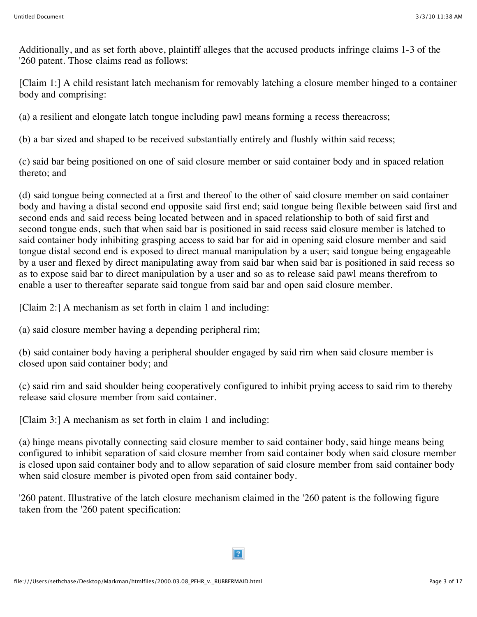Additionally, and as set forth above, plaintiff alleges that the accused products infringe claims 1-3 of the '260 patent. Those claims read as follows:

[Claim 1:] A child resistant latch mechanism for removably latching a closure member hinged to a container body and comprising:

(a) a resilient and elongate latch tongue including pawl means forming a recess thereacross;

(b) a bar sized and shaped to be received substantially entirely and flushly within said recess;

(c) said bar being positioned on one of said closure member or said container body and in spaced relation thereto; and

(d) said tongue being connected at a first and thereof to the other of said closure member on said container body and having a distal second end opposite said first end; said tongue being flexible between said first and second ends and said recess being located between and in spaced relationship to both of said first and second tongue ends, such that when said bar is positioned in said recess said closure member is latched to said container body inhibiting grasping access to said bar for aid in opening said closure member and said tongue distal second end is exposed to direct manual manipulation by a user; said tongue being engageable by a user and flexed by direct manipulating away from said bar when said bar is positioned in said recess so as to expose said bar to direct manipulation by a user and so as to release said pawl means therefrom to enable a user to thereafter separate said tongue from said bar and open said closure member.

[Claim 2:] A mechanism as set forth in claim 1 and including:

(a) said closure member having a depending peripheral rim;

(b) said container body having a peripheral shoulder engaged by said rim when said closure member is closed upon said container body; and

(c) said rim and said shoulder being cooperatively configured to inhibit prying access to said rim to thereby release said closure member from said container.

[Claim 3:] A mechanism as set forth in claim 1 and including:

(a) hinge means pivotally connecting said closure member to said container body, said hinge means being configured to inhibit separation of said closure member from said container body when said closure member is closed upon said container body and to allow separation of said closure member from said container body when said closure member is pivoted open from said container body.

'260 patent. Illustrative of the latch closure mechanism claimed in the '260 patent is the following figure taken from the '260 patent specification: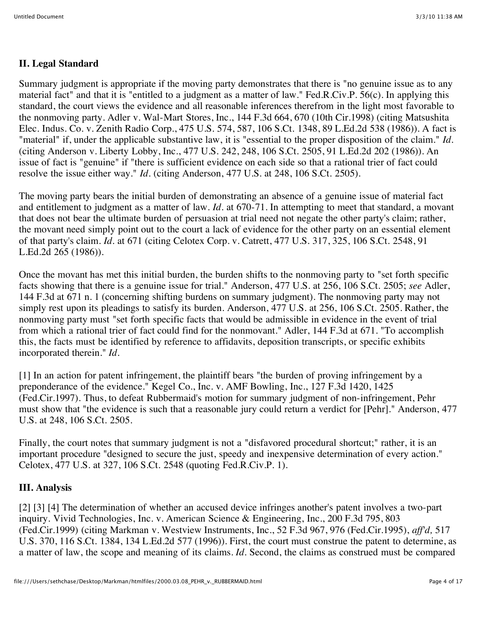# **II. Legal Standard**

Summary judgment is appropriate if the moving party demonstrates that there is "no genuine issue as to any material fact" and that it is "entitled to a judgment as a matter of law." Fed.R.Civ.P. 56(c). In applying this standard, the court views the evidence and all reasonable inferences therefrom in the light most favorable to the nonmoving party. Adler v. Wal-Mart Stores, Inc., 144 F.3d 664, 670 (10th Cir.1998) (citing Matsushita Elec. Indus. Co. v. Zenith Radio Corp., 475 U.S. 574, 587, 106 S.Ct. 1348, 89 L.Ed.2d 538 (1986)). A fact is "material" if, under the applicable substantive law, it is "essential to the proper disposition of the claim." *Id.* (citing Anderson v. Liberty Lobby, Inc., 477 U.S. 242, 248, 106 S.Ct. 2505, 91 L.Ed.2d 202 (1986)). An issue of fact is "genuine" if "there is sufficient evidence on each side so that a rational trier of fact could resolve the issue either way." *Id.* (citing Anderson, 477 U.S. at 248, 106 S.Ct. 2505).

The moving party bears the initial burden of demonstrating an absence of a genuine issue of material fact and entitlement to judgment as a matter of law. *Id.* at 670-71. In attempting to meet that standard, a movant that does not bear the ultimate burden of persuasion at trial need not negate the other party's claim; rather, the movant need simply point out to the court a lack of evidence for the other party on an essential element of that party's claim. *Id.* at 671 (citing Celotex Corp. v. Catrett, 477 U.S. 317, 325, 106 S.Ct. 2548, 91 L.Ed.2d 265 (1986)).

Once the movant has met this initial burden, the burden shifts to the nonmoving party to "set forth specific facts showing that there is a genuine issue for trial." Anderson, 477 U.S. at 256, 106 S.Ct. 2505; *see* Adler, 144 F.3d at 671 n. 1 (concerning shifting burdens on summary judgment). The nonmoving party may not simply rest upon its pleadings to satisfy its burden. Anderson, 477 U.S. at 256, 106 S.Ct. 2505. Rather, the nonmoving party must "set forth specific facts that would be admissible in evidence in the event of trial from which a rational trier of fact could find for the nonmovant." Adler, 144 F.3d at 671. "To accomplish this, the facts must be identified by reference to affidavits, deposition transcripts, or specific exhibits incorporated therein." *Id.*

[1] In an action for patent infringement, the plaintiff bears "the burden of proving infringement by a preponderance of the evidence." Kegel Co., Inc. v. AMF Bowling, Inc., 127 F.3d 1420, 1425 (Fed.Cir.1997). Thus, to defeat Rubbermaid's motion for summary judgment of non-infringement, Pehr must show that "the evidence is such that a reasonable jury could return a verdict for [Pehr]." Anderson, 477 U.S. at 248, 106 S.Ct. 2505.

Finally, the court notes that summary judgment is not a "disfavored procedural shortcut;" rather, it is an important procedure "designed to secure the just, speedy and inexpensive determination of every action." Celotex, 477 U.S. at 327, 106 S.Ct. 2548 (quoting Fed.R.Civ.P. 1).

## **III. Analysis**

[2] [3] [4] The determination of whether an accused device infringes another's patent involves a two-part inquiry. Vivid Technologies, Inc. v. American Science & Engineering, Inc., 200 F.3d 795, 803 (Fed.Cir.1999) (citing Markman v. Westview Instruments, Inc., 52 F.3d 967, 976 (Fed.Cir.1995), *aff'd,* 517 U.S. 370, 116 S.Ct. 1384, 134 L.Ed.2d 577 (1996)). First, the court must construe the patent to determine, as a matter of law, the scope and meaning of its claims. *Id.* Second, the claims as construed must be compared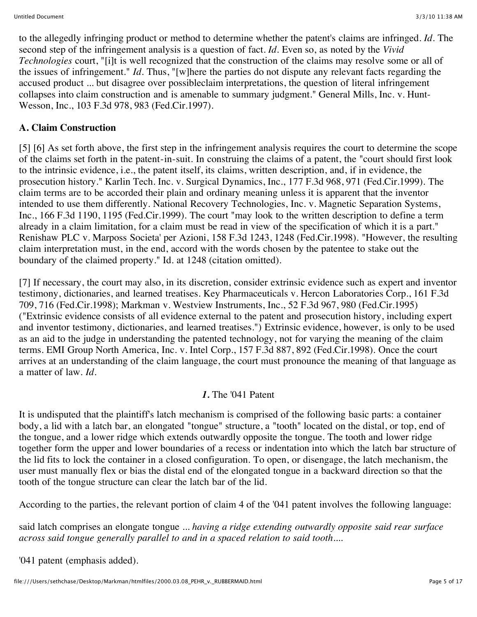to the allegedly infringing product or method to determine whether the patent's claims are infringed. *Id.* The second step of the infringement analysis is a question of fact. *Id.* Even so, as noted by the *Vivid Technologies* court, "[i]t is well recognized that the construction of the claims may resolve some or all of the issues of infringement." *Id.* Thus, "[w]here the parties do not dispute any relevant facts regarding the accused product ... but disagree over possibleclaim interpretations, the question of literal infringement collapses into claim construction and is amenable to summary judgment." General Mills, Inc. v. Hunt-Wesson, Inc., 103 F.3d 978, 983 (Fed.Cir.1997).

# **A. Claim Construction**

[5] [6] As set forth above, the first step in the infringement analysis requires the court to determine the scope of the claims set forth in the patent-in-suit. In construing the claims of a patent, the "court should first look to the intrinsic evidence, i.e., the patent itself, its claims, written description, and, if in evidence, the prosecution history." Karlin Tech. Inc. v. Surgical Dynamics, Inc., 177 F.3d 968, 971 (Fed.Cir.1999). The claim terms are to be accorded their plain and ordinary meaning unless it is apparent that the inventor intended to use them differently. National Recovery Technologies, Inc. v. Magnetic Separation Systems, Inc., 166 F.3d 1190, 1195 (Fed.Cir.1999). The court "may look to the written description to define a term already in a claim limitation, for a claim must be read in view of the specification of which it is a part." Renishaw PLC v. Marposs Societa' per Azioni, 158 F.3d 1243, 1248 (Fed.Cir.1998). "However, the resulting claim interpretation must, in the end, accord with the words chosen by the patentee to stake out the boundary of the claimed property." Id. at 1248 (citation omitted).

[7] If necessary, the court may also, in its discretion, consider extrinsic evidence such as expert and inventor testimony, dictionaries, and learned treatises. Key Pharmaceuticals v. Hercon Laboratories Corp., 161 F.3d 709, 716 (Fed.Cir.1998); Markman v. Westview Instruments, Inc., 52 F.3d 967, 980 (Fed.Cir.1995) ("Extrinsic evidence consists of all evidence external to the patent and prosecution history, including expert and inventor testimony, dictionaries, and learned treatises.") Extrinsic evidence, however, is only to be used as an aid to the judge in understanding the patented technology, not for varying the meaning of the claim terms. EMI Group North America, Inc. v. Intel Corp., 157 F.3d 887, 892 (Fed.Cir.1998). Once the court arrives at an understanding of the claim language, the court must pronounce the meaning of that language as a matter of law. *Id.*

## *1.* The '041 Patent

It is undisputed that the plaintiff's latch mechanism is comprised of the following basic parts: a container body, a lid with a latch bar, an elongated "tongue" structure, a "tooth" located on the distal, or top, end of the tongue, and a lower ridge which extends outwardly opposite the tongue. The tooth and lower ridge together form the upper and lower boundaries of a recess or indentation into which the latch bar structure of the lid fits to lock the container in a closed configuration. To open, or disengage, the latch mechanism, the user must manually flex or bias the distal end of the elongated tongue in a backward direction so that the tooth of the tongue structure can clear the latch bar of the lid.

According to the parties, the relevant portion of claim 4 of the '041 patent involves the following language:

said latch comprises an elongate tongue ... *having a ridge extending outwardly opposite said rear surface across said tongue generally parallel to and in a spaced relation to said tooth....*

'041 patent (emphasis added).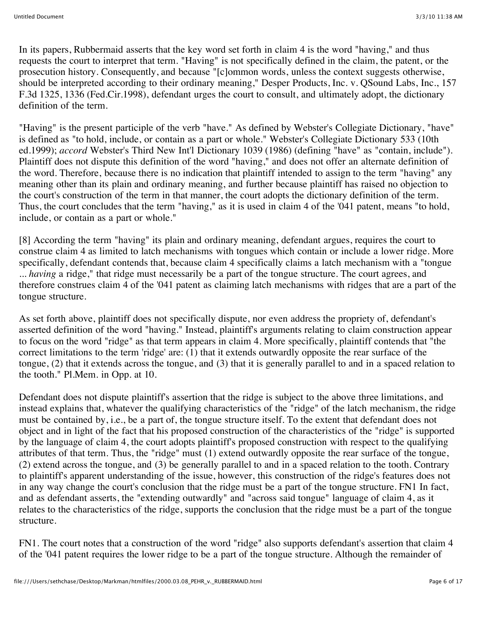In its papers, Rubbermaid asserts that the key word set forth in claim 4 is the word "having," and thus requests the court to interpret that term. "Having" is not specifically defined in the claim, the patent, or the prosecution history. Consequently, and because "[c]ommon words, unless the context suggests otherwise, should be interpreted according to their ordinary meaning," Desper Products, Inc. v. QSound Labs, Inc., 157 F.3d 1325, 1336 (Fed.Cir.1998), defendant urges the court to consult, and ultimately adopt, the dictionary definition of the term.

"Having" is the present participle of the verb "have." As defined by Webster's Collegiate Dictionary, "have" is defined as "to hold, include, or contain as a part or whole." Webster's Collegiate Dictionary 533 (10th ed.1999); *accord* Webster's Third New Int'l Dictionary 1039 (1986) (defining "have" as "contain, include"). Plaintiff does not dispute this definition of the word "having," and does not offer an alternate definition of the word. Therefore, because there is no indication that plaintiff intended to assign to the term "having" any meaning other than its plain and ordinary meaning, and further because plaintiff has raised no objection to the court's construction of the term in that manner, the court adopts the dictionary definition of the term. Thus, the court concludes that the term "having," as it is used in claim 4 of the '041 patent, means "to hold, include, or contain as a part or whole."

[8] According the term "having" its plain and ordinary meaning, defendant argues, requires the court to construe claim 4 as limited to latch mechanisms with tongues which contain or include a lower ridge. More specifically, defendant contends that, because claim 4 specifically claims a latch mechanism with a "tongue ... *having* a ridge," that ridge must necessarily be a part of the tongue structure. The court agrees, and therefore construes claim 4 of the '041 patent as claiming latch mechanisms with ridges that are a part of the tongue structure.

As set forth above, plaintiff does not specifically dispute, nor even address the propriety of, defendant's asserted definition of the word "having." Instead, plaintiff's arguments relating to claim construction appear to focus on the word "ridge" as that term appears in claim 4. More specifically, plaintiff contends that "the correct limitations to the term 'ridge' are: (1) that it extends outwardly opposite the rear surface of the tongue, (2) that it extends across the tongue, and (3) that it is generally parallel to and in a spaced relation to the tooth." Pl.Mem. in Opp. at 10.

Defendant does not dispute plaintiff's assertion that the ridge is subject to the above three limitations, and instead explains that, whatever the qualifying characteristics of the "ridge" of the latch mechanism, the ridge must be contained by, i.e., be a part of, the tongue structure itself. To the extent that defendant does not object and in light of the fact that his proposed construction of the characteristics of the "ridge" is supported by the language of claim 4, the court adopts plaintiff's proposed construction with respect to the qualifying attributes of that term. Thus, the "ridge" must (1) extend outwardly opposite the rear surface of the tongue, (2) extend across the tongue, and (3) be generally parallel to and in a spaced relation to the tooth. Contrary to plaintiff's apparent understanding of the issue, however, this construction of the ridge's features does not in any way change the court's conclusion that the ridge must be a part of the tongue structure. FN1 In fact, and as defendant asserts, the "extending outwardly" and "across said tongue" language of claim 4, as it relates to the characteristics of the ridge, supports the conclusion that the ridge must be a part of the tongue structure.

FN1. The court notes that a construction of the word "ridge" also supports defendant's assertion that claim 4 of the '041 patent requires the lower ridge to be a part of the tongue structure. Although the remainder of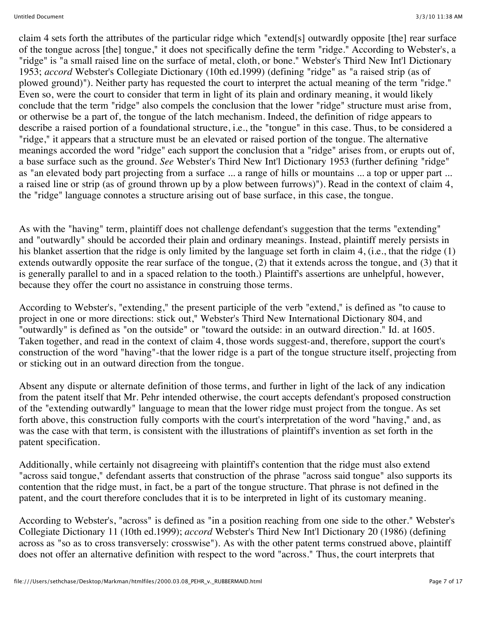claim 4 sets forth the attributes of the particular ridge which "extend[s] outwardly opposite [the] rear surface of the tongue across [the] tongue," it does not specifically define the term "ridge." According to Webster's, a "ridge" is "a small raised line on the surface of metal, cloth, or bone." Webster's Third New Int'l Dictionary 1953; *accord* Webster's Collegiate Dictionary (10th ed.1999) (defining "ridge" as "a raised strip (as of plowed ground)"). Neither party has requested the court to interpret the actual meaning of the term "ridge." Even so, were the court to consider that term in light of its plain and ordinary meaning, it would likely conclude that the term "ridge" also compels the conclusion that the lower "ridge" structure must arise from, or otherwise be a part of, the tongue of the latch mechanism. Indeed, the definition of ridge appears to describe a raised portion of a foundational structure, i.e., the "tongue" in this case. Thus, to be considered a "ridge," it appears that a structure must be an elevated or raised portion of the tongue. The alternative meanings accorded the word "ridge" each support the conclusion that a "ridge" arises from, or erupts out of, a base surface such as the ground. *See* Webster's Third New Int'l Dictionary 1953 (further defining "ridge" as "an elevated body part projecting from a surface ... a range of hills or mountains ... a top or upper part ... a raised line or strip (as of ground thrown up by a plow between furrows)"). Read in the context of claim 4, the "ridge" language connotes a structure arising out of base surface, in this case, the tongue.

As with the "having" term, plaintiff does not challenge defendant's suggestion that the terms "extending" and "outwardly" should be accorded their plain and ordinary meanings. Instead, plaintiff merely persists in his blanket assertion that the ridge is only limited by the language set forth in claim 4, (i.e., that the ridge (1) extends outwardly opposite the rear surface of the tongue, (2) that it extends across the tongue, and (3) that it is generally parallel to and in a spaced relation to the tooth.) Plaintiff's assertions are unhelpful, however, because they offer the court no assistance in construing those terms.

According to Webster's, "extending," the present participle of the verb "extend," is defined as "to cause to project in one or more directions: stick out," Webster's Third New International Dictionary 804, and "outwardly" is defined as "on the outside" or "toward the outside: in an outward direction." Id. at 1605. Taken together, and read in the context of claim 4, those words suggest-and, therefore, support the court's construction of the word "having"-that the lower ridge is a part of the tongue structure itself, projecting from or sticking out in an outward direction from the tongue.

Absent any dispute or alternate definition of those terms, and further in light of the lack of any indication from the patent itself that Mr. Pehr intended otherwise, the court accepts defendant's proposed construction of the "extending outwardly" language to mean that the lower ridge must project from the tongue. As set forth above, this construction fully comports with the court's interpretation of the word "having," and, as was the case with that term, is consistent with the illustrations of plaintiff's invention as set forth in the patent specification.

Additionally, while certainly not disagreeing with plaintiff's contention that the ridge must also extend "across said tongue," defendant asserts that construction of the phrase "across said tongue" also supports its contention that the ridge must, in fact, be a part of the tongue structure. That phrase is not defined in the patent, and the court therefore concludes that it is to be interpreted in light of its customary meaning.

According to Webster's, "across" is defined as "in a position reaching from one side to the other." Webster's Collegiate Dictionary 11 (10th ed.1999); *accord* Webster's Third New Int'l Dictionary 20 (1986) (defining across as "so as to cross transversely: crosswise"). As with the other patent terms construed above, plaintiff does not offer an alternative definition with respect to the word "across." Thus, the court interprets that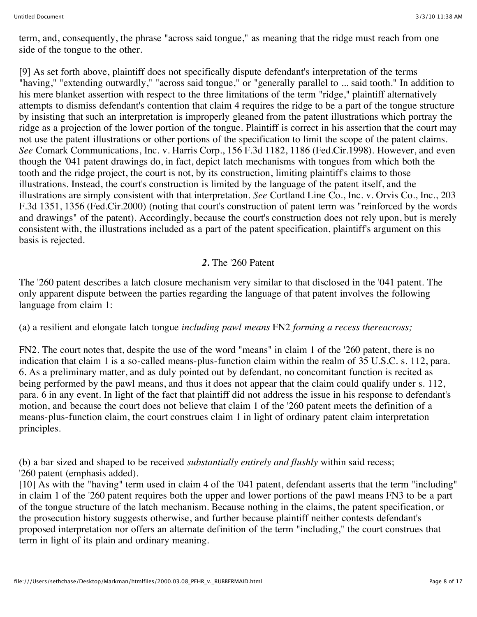term, and, consequently, the phrase "across said tongue," as meaning that the ridge must reach from one side of the tongue to the other.

[9] As set forth above, plaintiff does not specifically dispute defendant's interpretation of the terms "having," "extending outwardly," "across said tongue," or "generally parallel to ... said tooth." In addition to his mere blanket assertion with respect to the three limitations of the term "ridge," plaintiff alternatively attempts to dismiss defendant's contention that claim 4 requires the ridge to be a part of the tongue structure by insisting that such an interpretation is improperly gleaned from the patent illustrations which portray the ridge as a projection of the lower portion of the tongue. Plaintiff is correct in his assertion that the court may not use the patent illustrations or other portions of the specification to limit the scope of the patent claims. *See* Comark Communications, Inc. v. Harris Corp., 156 F.3d 1182, 1186 (Fed.Cir.1998). However, and even though the '041 patent drawings do, in fact, depict latch mechanisms with tongues from which both the tooth and the ridge project, the court is not, by its construction, limiting plaintiff's claims to those illustrations. Instead, the court's construction is limited by the language of the patent itself, and the illustrations are simply consistent with that interpretation. *See* Cortland Line Co., Inc. v. Orvis Co., Inc., 203 F.3d 1351, 1356 (Fed.Cir.2000) (noting that court's construction of patent term was "reinforced by the words and drawings" of the patent). Accordingly, because the court's construction does not rely upon, but is merely consistent with, the illustrations included as a part of the patent specification, plaintiff's argument on this basis is rejected.

#### *2.* The '260 Patent

The '260 patent describes a latch closure mechanism very similar to that disclosed in the '041 patent. The only apparent dispute between the parties regarding the language of that patent involves the following language from claim 1:

(a) a resilient and elongate latch tongue *including pawl means* FN2 *forming a recess thereacross;*

FN2. The court notes that, despite the use of the word "means" in claim 1 of the '260 patent, there is no indication that claim 1 is a so-called means-plus-function claim within the realm of 35 U.S.C. s. 112, para. 6. As a preliminary matter, and as duly pointed out by defendant, no concomitant function is recited as being performed by the pawl means, and thus it does not appear that the claim could qualify under s. 112, para. 6 in any event. In light of the fact that plaintiff did not address the issue in his response to defendant's motion, and because the court does not believe that claim 1 of the '260 patent meets the definition of a means-plus-function claim, the court construes claim 1 in light of ordinary patent claim interpretation principles.

(b) a bar sized and shaped to be received *substantially entirely and flushly* within said recess; '260 patent (emphasis added).

[10] As with the "having" term used in claim 4 of the '041 patent, defendant asserts that the term "including" in claim 1 of the '260 patent requires both the upper and lower portions of the pawl means FN3 to be a part of the tongue structure of the latch mechanism. Because nothing in the claims, the patent specification, or the prosecution history suggests otherwise, and further because plaintiff neither contests defendant's proposed interpretation nor offers an alternate definition of the term "including," the court construes that term in light of its plain and ordinary meaning.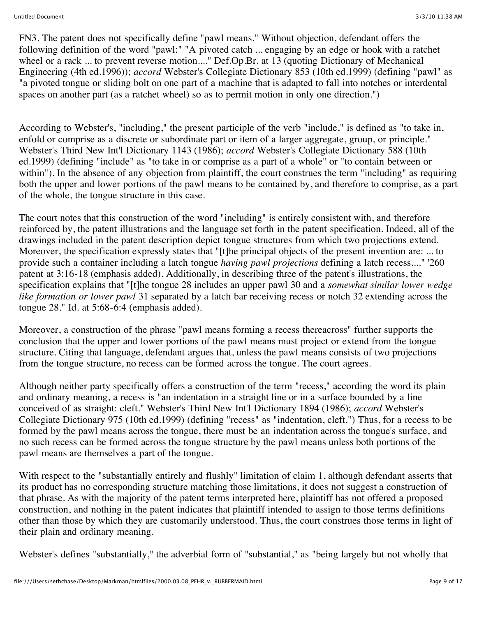FN3. The patent does not specifically define "pawl means." Without objection, defendant offers the following definition of the word "pawl:" "A pivoted catch ... engaging by an edge or hook with a ratchet wheel or a rack ... to prevent reverse motion...." Def.Op.Br. at 13 (quoting Dictionary of Mechanical Engineering (4th ed.1996)); *accord* Webster's Collegiate Dictionary 853 (10th ed.1999) (defining "pawl" as "a pivoted tongue or sliding bolt on one part of a machine that is adapted to fall into notches or interdental spaces on another part (as a ratchet wheel) so as to permit motion in only one direction.")

According to Webster's, "including," the present participle of the verb "include," is defined as "to take in, enfold or comprise as a discrete or subordinate part or item of a larger aggregate, group, or principle." Webster's Third New Int'l Dictionary 1143 (1986); *accord* Webster's Collegiate Dictionary 588 (10th ed.1999) (defining "include" as "to take in or comprise as a part of a whole" or "to contain between or within"). In the absence of any objection from plaintiff, the court construes the term "including" as requiring both the upper and lower portions of the pawl means to be contained by, and therefore to comprise, as a part of the whole, the tongue structure in this case.

The court notes that this construction of the word "including" is entirely consistent with, and therefore reinforced by, the patent illustrations and the language set forth in the patent specification. Indeed, all of the drawings included in the patent description depict tongue structures from which two projections extend. Moreover, the specification expressly states that "[t]he principal objects of the present invention are: ... to provide such a container including a latch tongue *having pawl projections* defining a latch recess...." '260 patent at 3:16-18 (emphasis added). Additionally, in describing three of the patent's illustrations, the specification explains that "[t]he tongue 28 includes an upper pawl 30 and a *somewhat similar lower wedge like formation or lower pawl* 31 separated by a latch bar receiving recess or notch 32 extending across the tongue 28." Id. at 5:68-6:4 (emphasis added).

Moreover, a construction of the phrase "pawl means forming a recess thereacross" further supports the conclusion that the upper and lower portions of the pawl means must project or extend from the tongue structure. Citing that language, defendant argues that, unless the pawl means consists of two projections from the tongue structure, no recess can be formed across the tongue. The court agrees.

Although neither party specifically offers a construction of the term "recess," according the word its plain and ordinary meaning, a recess is "an indentation in a straight line or in a surface bounded by a line conceived of as straight: cleft." Webster's Third New Int'l Dictionary 1894 (1986); *accord* Webster's Collegiate Dictionary 975 (10th ed.1999) (defining "recess" as "indentation, cleft.") Thus, for a recess to be formed by the pawl means across the tongue, there must be an indentation across the tongue's surface, and no such recess can be formed across the tongue structure by the pawl means unless both portions of the pawl means are themselves a part of the tongue.

With respect to the "substantially entirely and flushly" limitation of claim 1, although defendant asserts that its product has no corresponding structure matching those limitations, it does not suggest a construction of that phrase. As with the majority of the patent terms interpreted here, plaintiff has not offered a proposed construction, and nothing in the patent indicates that plaintiff intended to assign to those terms definitions other than those by which they are customarily understood. Thus, the court construes those terms in light of their plain and ordinary meaning.

Webster's defines "substantially," the adverbial form of "substantial," as "being largely but not wholly that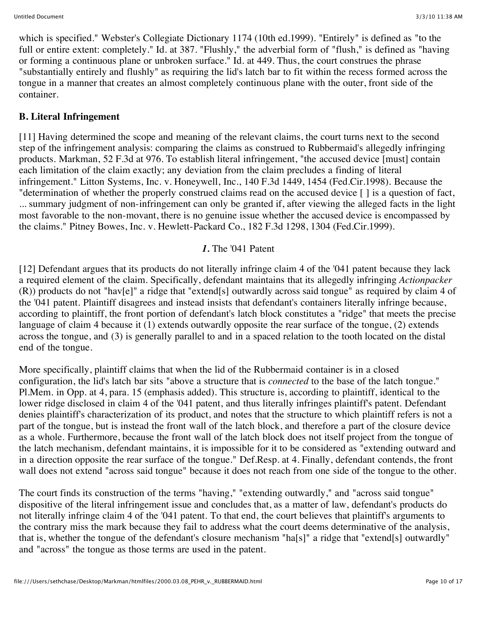which is specified." Webster's Collegiate Dictionary 1174 (10th ed.1999). "Entirely" is defined as "to the full or entire extent: completely." Id. at 387. "Flushly," the adverbial form of "flush," is defined as "having or forming a continuous plane or unbroken surface." Id. at 449. Thus, the court construes the phrase "substantially entirely and flushly" as requiring the lid's latch bar to fit within the recess formed across the tongue in a manner that creates an almost completely continuous plane with the outer, front side of the container.

### **B. Literal Infringement**

[11] Having determined the scope and meaning of the relevant claims, the court turns next to the second step of the infringement analysis: comparing the claims as construed to Rubbermaid's allegedly infringing products. Markman, 52 F.3d at 976. To establish literal infringement, "the accused device [must] contain each limitation of the claim exactly; any deviation from the claim precludes a finding of literal infringement." Litton Systems, Inc. v. Honeywell, Inc., 140 F.3d 1449, 1454 (Fed.Cir.1998). Because the "determination of whether the properly construed claims read on the accused device [ ] is a question of fact, ... summary judgment of non-infringement can only be granted if, after viewing the alleged facts in the light most favorable to the non-movant, there is no genuine issue whether the accused device is encompassed by the claims." Pitney Bowes, Inc. v. Hewlett-Packard Co., 182 F.3d 1298, 1304 (Fed.Cir.1999).

### *1.* The '041 Patent

[12] Defendant argues that its products do not literally infringe claim 4 of the '041 patent because they lack a required element of the claim. Specifically, defendant maintains that its allegedly infringing *Actionpacker* (R)) products do not "hav[e]" a ridge that "extend[s] outwardly across said tongue" as required by claim 4 of the '041 patent. Plaintiff disagrees and instead insists that defendant's containers literally infringe because, according to plaintiff, the front portion of defendant's latch block constitutes a "ridge" that meets the precise language of claim 4 because it (1) extends outwardly opposite the rear surface of the tongue, (2) extends across the tongue, and (3) is generally parallel to and in a spaced relation to the tooth located on the distal end of the tongue.

More specifically, plaintiff claims that when the lid of the Rubbermaid container is in a closed configuration, the lid's latch bar sits "above a structure that is *connected* to the base of the latch tongue." Pl.Mem. in Opp. at 4, para. 15 (emphasis added). This structure is, according to plaintiff, identical to the lower ridge disclosed in claim 4 of the '041 patent, and thus literally infringes plaintiff's patent. Defendant denies plaintiff's characterization of its product, and notes that the structure to which plaintiff refers is not a part of the tongue, but is instead the front wall of the latch block, and therefore a part of the closure device as a whole. Furthermore, because the front wall of the latch block does not itself project from the tongue of the latch mechanism, defendant maintains, it is impossible for it to be considered as "extending outward and in a direction opposite the rear surface of the tongue." Def.Resp. at 4. Finally, defendant contends, the front wall does not extend "across said tongue" because it does not reach from one side of the tongue to the other.

The court finds its construction of the terms "having," "extending outwardly," and "across said tongue" dispositive of the literal infringement issue and concludes that, as a matter of law, defendant's products do not literally infringe claim 4 of the '041 patent. To that end, the court believes that plaintiff's arguments to the contrary miss the mark because they fail to address what the court deems determinative of the analysis, that is, whether the tongue of the defendant's closure mechanism "ha[s]" a ridge that "extend[s] outwardly" and "across" the tongue as those terms are used in the patent.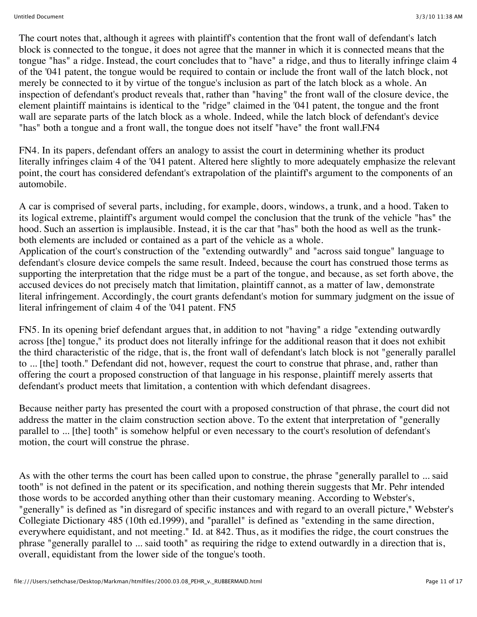The court notes that, although it agrees with plaintiff's contention that the front wall of defendant's latch block is connected to the tongue, it does not agree that the manner in which it is connected means that the tongue "has" a ridge. Instead, the court concludes that to "have" a ridge, and thus to literally infringe claim 4 of the '041 patent, the tongue would be required to contain or include the front wall of the latch block, not merely be connected to it by virtue of the tongue's inclusion as part of the latch block as a whole. An inspection of defendant's product reveals that, rather than "having" the front wall of the closure device, the element plaintiff maintains is identical to the "ridge" claimed in the '041 patent, the tongue and the front wall are separate parts of the latch block as a whole. Indeed, while the latch block of defendant's device "has" both a tongue and a front wall, the tongue does not itself "have" the front wall.FN4

FN4. In its papers, defendant offers an analogy to assist the court in determining whether its product literally infringes claim 4 of the '041 patent. Altered here slightly to more adequately emphasize the relevant point, the court has considered defendant's extrapolation of the plaintiff's argument to the components of an automobile.

A car is comprised of several parts, including, for example, doors, windows, a trunk, and a hood. Taken to its logical extreme, plaintiff's argument would compel the conclusion that the trunk of the vehicle "has" the hood. Such an assertion is implausible. Instead, it is the car that "has" both the hood as well as the trunkboth elements are included or contained as a part of the vehicle as a whole.

Application of the court's construction of the "extending outwardly" and "across said tongue" language to defendant's closure device compels the same result. Indeed, because the court has construed those terms as supporting the interpretation that the ridge must be a part of the tongue, and because, as set forth above, the accused devices do not precisely match that limitation, plaintiff cannot, as a matter of law, demonstrate literal infringement. Accordingly, the court grants defendant's motion for summary judgment on the issue of literal infringement of claim 4 of the '041 patent. FN5

FN5. In its opening brief defendant argues that, in addition to not "having" a ridge "extending outwardly across [the] tongue," its product does not literally infringe for the additional reason that it does not exhibit the third characteristic of the ridge, that is, the front wall of defendant's latch block is not "generally parallel to ... [the] tooth." Defendant did not, however, request the court to construe that phrase, and, rather than offering the court a proposed construction of that language in his response, plaintiff merely asserts that defendant's product meets that limitation, a contention with which defendant disagrees.

Because neither party has presented the court with a proposed construction of that phrase, the court did not address the matter in the claim construction section above. To the extent that interpretation of "generally parallel to ... [the] tooth" is somehow helpful or even necessary to the court's resolution of defendant's motion, the court will construe the phrase.

As with the other terms the court has been called upon to construe, the phrase "generally parallel to ... said tooth" is not defined in the patent or its specification, and nothing therein suggests that Mr. Pehr intended those words to be accorded anything other than their customary meaning. According to Webster's, "generally" is defined as "in disregard of specific instances and with regard to an overall picture," Webster's Collegiate Dictionary 485 (10th ed.1999), and "parallel" is defined as "extending in the same direction, everywhere equidistant, and not meeting." Id. at 842. Thus, as it modifies the ridge, the court construes the phrase "generally parallel to ... said tooth" as requiring the ridge to extend outwardly in a direction that is, overall, equidistant from the lower side of the tongue's tooth.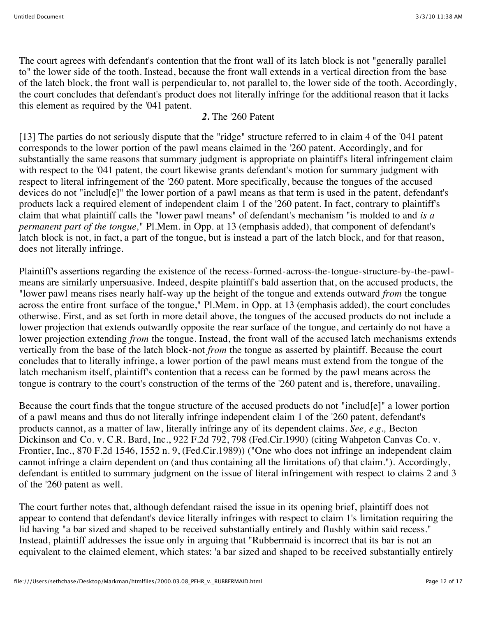The court agrees with defendant's contention that the front wall of its latch block is not "generally parallel to" the lower side of the tooth. Instead, because the front wall extends in a vertical direction from the base of the latch block, the front wall is perpendicular to, not parallel to, the lower side of the tooth. Accordingly, the court concludes that defendant's product does not literally infringe for the additional reason that it lacks this element as required by the '041 patent.

#### *2.* The '260 Patent

[13] The parties do not seriously dispute that the "ridge" structure referred to in claim 4 of the '041 patent corresponds to the lower portion of the pawl means claimed in the '260 patent. Accordingly, and for substantially the same reasons that summary judgment is appropriate on plaintiff's literal infringement claim with respect to the '041 patent, the court likewise grants defendant's motion for summary judgment with respect to literal infringement of the '260 patent. More specifically, because the tongues of the accused devices do not "includ[e]" the lower portion of a pawl means as that term is used in the patent, defendant's products lack a required element of independent claim 1 of the '260 patent. In fact, contrary to plaintiff's claim that what plaintiff calls the "lower pawl means" of defendant's mechanism "is molded to and *is a permanent part of the tongue,*" Pl.Mem. in Opp. at 13 (emphasis added), that component of defendant's latch block is not, in fact, a part of the tongue, but is instead a part of the latch block, and for that reason, does not literally infringe.

Plaintiff's assertions regarding the existence of the recess-formed-across-the-tongue-structure-by-the-pawlmeans are similarly unpersuasive. Indeed, despite plaintiff's bald assertion that, on the accused products, the "lower pawl means rises nearly half-way up the height of the tongue and extends outward *from* the tongue across the entire front surface of the tongue," Pl.Mem. in Opp. at 13 (emphasis added), the court concludes otherwise. First, and as set forth in more detail above, the tongues of the accused products do not include a lower projection that extends outwardly opposite the rear surface of the tongue, and certainly do not have a lower projection extending *from* the tongue. Instead, the front wall of the accused latch mechanisms extends vertically from the base of the latch block-not *from* the tongue as asserted by plaintiff. Because the court concludes that to literally infringe, a lower portion of the pawl means must extend from the tongue of the latch mechanism itself, plaintiff's contention that a recess can be formed by the pawl means across the tongue is contrary to the court's construction of the terms of the '260 patent and is, therefore, unavailing.

Because the court finds that the tongue structure of the accused products do not "includ[e]" a lower portion of a pawl means and thus do not literally infringe independent claim 1 of the '260 patent, defendant's products cannot, as a matter of law, literally infringe any of its dependent claims. *See, e.g.,* Becton Dickinson and Co. v. C.R. Bard, Inc., 922 F.2d 792, 798 (Fed.Cir.1990) (citing Wahpeton Canvas Co. v. Frontier, Inc., 870 F.2d 1546, 1552 n. 9, (Fed.Cir.1989)) ("One who does not infringe an independent claim cannot infringe a claim dependent on (and thus containing all the limitations of) that claim."). Accordingly, defendant is entitled to summary judgment on the issue of literal infringement with respect to claims 2 and 3 of the '260 patent as well.

The court further notes that, although defendant raised the issue in its opening brief, plaintiff does not appear to contend that defendant's device literally infringes with respect to claim 1's limitation requiring the lid having "a bar sized and shaped to be received substantially entirely and flushly within said recess." Instead, plaintiff addresses the issue only in arguing that "Rubbermaid is incorrect that its bar is not an equivalent to the claimed element, which states: 'a bar sized and shaped to be received substantially entirely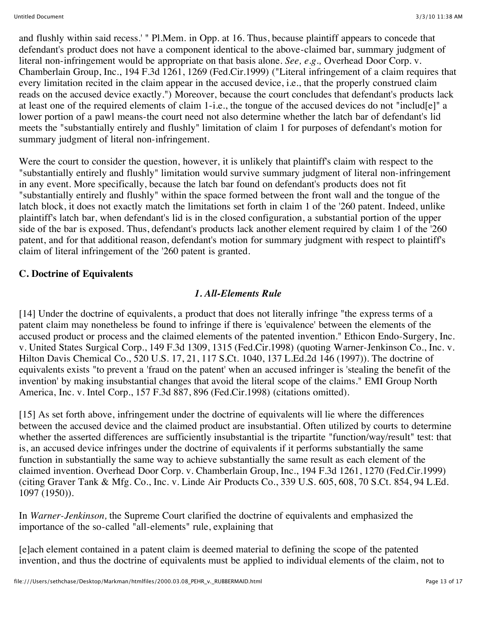and flushly within said recess.' " Pl.Mem. in Opp. at 16. Thus, because plaintiff appears to concede that defendant's product does not have a component identical to the above-claimed bar, summary judgment of literal non-infringement would be appropriate on that basis alone. *See, e.g.,* Overhead Door Corp. v. Chamberlain Group, Inc., 194 F.3d 1261, 1269 (Fed.Cir.1999) ("Literal infringement of a claim requires that every limitation recited in the claim appear in the accused device, i.e., that the properly construed claim reads on the accused device exactly.") Moreover, because the court concludes that defendant's products lack at least one of the required elements of claim 1-i.e., the tongue of the accused devices do not "includ[e]" a lower portion of a pawl means-the court need not also determine whether the latch bar of defendant's lid meets the "substantially entirely and flushly" limitation of claim 1 for purposes of defendant's motion for summary judgment of literal non-infringement.

Were the court to consider the question, however, it is unlikely that plaintiff's claim with respect to the "substantially entirely and flushly" limitation would survive summary judgment of literal non-infringement in any event. More specifically, because the latch bar found on defendant's products does not fit "substantially entirely and flushly" within the space formed between the front wall and the tongue of the latch block, it does not exactly match the limitations set forth in claim 1 of the '260 patent. Indeed, unlike plaintiff's latch bar, when defendant's lid is in the closed configuration, a substantial portion of the upper side of the bar is exposed. Thus, defendant's products lack another element required by claim 1 of the '260 patent, and for that additional reason, defendant's motion for summary judgment with respect to plaintiff's claim of literal infringement of the '260 patent is granted.

## **C. Doctrine of Equivalents**

#### *1. All-Elements Rule*

[14] Under the doctrine of equivalents, a product that does not literally infringe "the express terms of a patent claim may nonetheless be found to infringe if there is 'equivalence' between the elements of the accused product or process and the claimed elements of the patented invention." Ethicon Endo-Surgery, Inc. v. United States Surgical Corp., 149 F.3d 1309, 1315 (Fed.Cir.1998) (quoting Warner-Jenkinson Co., Inc. v. Hilton Davis Chemical Co., 520 U.S. 17, 21, 117 S.Ct. 1040, 137 L.Ed.2d 146 (1997)). The doctrine of equivalents exists "to prevent a 'fraud on the patent' when an accused infringer is 'stealing the benefit of the invention' by making insubstantial changes that avoid the literal scope of the claims." EMI Group North America, Inc. v. Intel Corp., 157 F.3d 887, 896 (Fed.Cir.1998) (citations omitted).

[15] As set forth above, infringement under the doctrine of equivalents will lie where the differences between the accused device and the claimed product are insubstantial. Often utilized by courts to determine whether the asserted differences are sufficiently insubstantial is the tripartite "function/way/result" test: that is, an accused device infringes under the doctrine of equivalents if it performs substantially the same function in substantially the same way to achieve substantially the same result as each element of the claimed invention. Overhead Door Corp. v. Chamberlain Group, Inc., 194 F.3d 1261, 1270 (Fed.Cir.1999) (citing Graver Tank & Mfg. Co., Inc. v. Linde Air Products Co., 339 U.S. 605, 608, 70 S.Ct. 854, 94 L.Ed. 1097 (1950)).

In *Warner-Jenkinson,* the Supreme Court clarified the doctrine of equivalents and emphasized the importance of the so-called "all-elements" rule, explaining that

[e]ach element contained in a patent claim is deemed material to defining the scope of the patented invention, and thus the doctrine of equivalents must be applied to individual elements of the claim, not to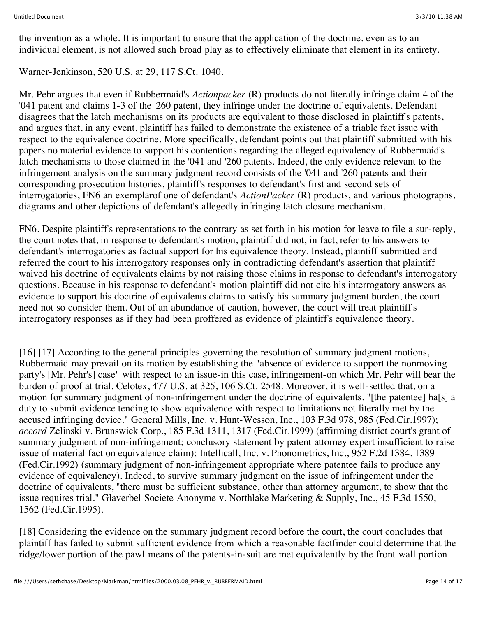the invention as a whole. It is important to ensure that the application of the doctrine, even as to an individual element, is not allowed such broad play as to effectively eliminate that element in its entirety.

Warner-Jenkinson, 520 U.S. at 29, 117 S.Ct. 1040.

Mr. Pehr argues that even if Rubbermaid's *Actionpacker* (R) products do not literally infringe claim 4 of the '041 patent and claims 1-3 of the '260 patent, they infringe under the doctrine of equivalents. Defendant disagrees that the latch mechanisms on its products are equivalent to those disclosed in plaintiff's patents, and argues that, in any event, plaintiff has failed to demonstrate the existence of a triable fact issue with respect to the equivalence doctrine. More specifically, defendant points out that plaintiff submitted with his papers no material evidence to support his contentions regarding the alleged equivalency of Rubbermaid's latch mechanisms to those claimed in the '041 and '260 patents. Indeed, the only evidence relevant to the infringement analysis on the summary judgment record consists of the '041 and '260 patents and their corresponding prosecution histories, plaintiff's responses to defendant's first and second sets of interrogatories, FN6 an exemplarof one of defendant's *ActionPacker* (R) products, and various photographs, diagrams and other depictions of defendant's allegedly infringing latch closure mechanism.

FN6. Despite plaintiff's representations to the contrary as set forth in his motion for leave to file a sur-reply, the court notes that, in response to defendant's motion, plaintiff did not, in fact, refer to his answers to defendant's interrogatories as factual support for his equivalence theory. Instead, plaintiff submitted and referred the court to his interrogatory responses only in contradicting defendant's assertion that plaintiff waived his doctrine of equivalents claims by not raising those claims in response to defendant's interrogatory questions. Because in his response to defendant's motion plaintiff did not cite his interrogatory answers as evidence to support his doctrine of equivalents claims to satisfy his summary judgment burden, the court need not so consider them. Out of an abundance of caution, however, the court will treat plaintiff's interrogatory responses as if they had been proffered as evidence of plaintiff's equivalence theory.

[16] [17] According to the general principles governing the resolution of summary judgment motions, Rubbermaid may prevail on its motion by establishing the "absence of evidence to support the nonmoving party's [Mr. Pehr's] case" with respect to an issue-in this case, infringement-on which Mr. Pehr will bear the burden of proof at trial. Celotex, 477 U.S. at 325, 106 S.Ct. 2548. Moreover, it is well-settled that, on a motion for summary judgment of non-infringement under the doctrine of equivalents, "[the patentee] ha[s] a duty to submit evidence tending to show equivalence with respect to limitations not literally met by the accused infringing device." General Mills, Inc. v. Hunt-Wesson, Inc., 103 F.3d 978, 985 (Fed.Cir.1997); *accord* Zelinski v. Brunswick Corp., 185 F.3d 1311, 1317 (Fed.Cir.1999) (affirming district court's grant of summary judgment of non-infringement; conclusory statement by patent attorney expert insufficient to raise issue of material fact on equivalence claim); Intellicall, Inc. v. Phonometrics, Inc., 952 F.2d 1384, 1389 (Fed.Cir.1992) (summary judgment of non-infringement appropriate where patentee fails to produce any evidence of equivalency). Indeed, to survive summary judgment on the issue of infringement under the doctrine of equivalents, "there must be sufficient substance, other than attorney argument, to show that the issue requires trial." Glaverbel Societe Anonyme v. Northlake Marketing & Supply, Inc., 45 F.3d 1550, 1562 (Fed.Cir.1995).

[18] Considering the evidence on the summary judgment record before the court, the court concludes that plaintiff has failed to submit sufficient evidence from which a reasonable factfinder could determine that the ridge/lower portion of the pawl means of the patents-in-suit are met equivalently by the front wall portion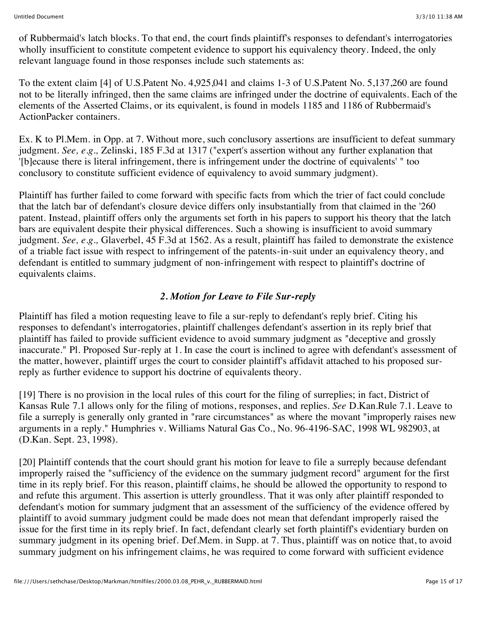of Rubbermaid's latch blocks. To that end, the court finds plaintiff's responses to defendant's interrogatories wholly insufficient to constitute competent evidence to support his equivalency theory. Indeed, the only relevant language found in those responses include such statements as:

To the extent claim [4] of U.S.Patent No. 4,925,041 and claims 1-3 of U.S.Patent No. 5,137,260 are found not to be literally infringed, then the same claims are infringed under the doctrine of equivalents. Each of the elements of the Asserted Claims, or its equivalent, is found in models 1185 and 1186 of Rubbermaid's ActionPacker containers.

Ex. K to Pl.Mem. in Opp. at 7. Without more, such conclusory assertions are insufficient to defeat summary judgment. *See, e.g.,* Zelinski, 185 F.3d at 1317 ("expert's assertion without any further explanation that '[b]ecause there is literal infringement, there is infringement under the doctrine of equivalents' " too conclusory to constitute sufficient evidence of equivalency to avoid summary judgment).

Plaintiff has further failed to come forward with specific facts from which the trier of fact could conclude that the latch bar of defendant's closure device differs only insubstantially from that claimed in the '260 patent. Instead, plaintiff offers only the arguments set forth in his papers to support his theory that the latch bars are equivalent despite their physical differences. Such a showing is insufficient to avoid summary judgment. *See, e.g.,* Glaverbel, 45 F.3d at 1562. As a result, plaintiff has failed to demonstrate the existence of a triable fact issue with respect to infringement of the patents-in-suit under an equivalency theory, and defendant is entitled to summary judgment of non-infringement with respect to plaintiff's doctrine of equivalents claims.

## *2. Motion for Leave to File Sur-reply*

Plaintiff has filed a motion requesting leave to file a sur-reply to defendant's reply brief. Citing his responses to defendant's interrogatories, plaintiff challenges defendant's assertion in its reply brief that plaintiff has failed to provide sufficient evidence to avoid summary judgment as "deceptive and grossly inaccurate." Pl. Proposed Sur-reply at 1. In case the court is inclined to agree with defendant's assessment of the matter, however, plaintiff urges the court to consider plaintiff's affidavit attached to his proposed surreply as further evidence to support his doctrine of equivalents theory.

[19] There is no provision in the local rules of this court for the filing of surreplies; in fact, District of Kansas Rule 7.1 allows only for the filing of motions, responses, and replies. *See* D.Kan.Rule 7.1. Leave to file a surreply is generally only granted in "rare circumstances" as where the movant "improperly raises new arguments in a reply." Humphries v. Williams Natural Gas Co., No. 96-4196-SAC, 1998 WL 982903, at (D.Kan. Sept. 23, 1998).

[20] Plaintiff contends that the court should grant his motion for leave to file a surreply because defendant improperly raised the "sufficiency of the evidence on the summary judgment record" argument for the first time in its reply brief. For this reason, plaintiff claims, he should be allowed the opportunity to respond to and refute this argument. This assertion is utterly groundless. That it was only after plaintiff responded to defendant's motion for summary judgment that an assessment of the sufficiency of the evidence offered by plaintiff to avoid summary judgment could be made does not mean that defendant improperly raised the issue for the first time in its reply brief. In fact, defendant clearly set forth plaintiff's evidentiary burden on summary judgment in its opening brief. Def.Mem. in Supp. at 7. Thus, plaintiff was on notice that, to avoid summary judgment on his infringement claims, he was required to come forward with sufficient evidence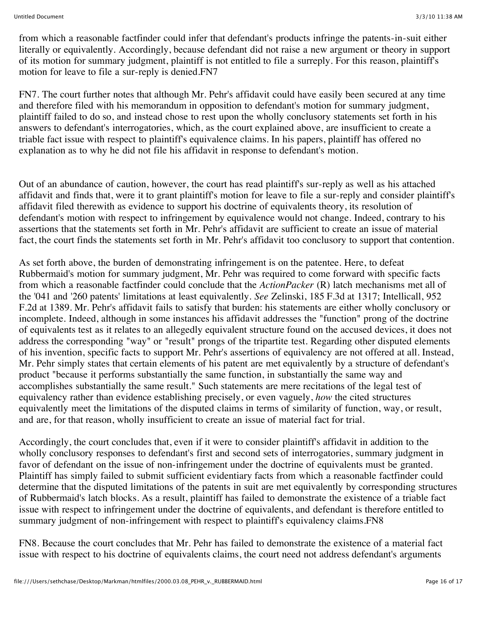from which a reasonable factfinder could infer that defendant's products infringe the patents-in-suit either literally or equivalently. Accordingly, because defendant did not raise a new argument or theory in support of its motion for summary judgment, plaintiff is not entitled to file a surreply. For this reason, plaintiff's motion for leave to file a sur-reply is denied.FN7

FN7. The court further notes that although Mr. Pehr's affidavit could have easily been secured at any time and therefore filed with his memorandum in opposition to defendant's motion for summary judgment, plaintiff failed to do so, and instead chose to rest upon the wholly conclusory statements set forth in his answers to defendant's interrogatories, which, as the court explained above, are insufficient to create a triable fact issue with respect to plaintiff's equivalence claims. In his papers, plaintiff has offered no explanation as to why he did not file his affidavit in response to defendant's motion.

Out of an abundance of caution, however, the court has read plaintiff's sur-reply as well as his attached affidavit and finds that, were it to grant plaintiff's motion for leave to file a sur-reply and consider plaintiff's affidavit filed therewith as evidence to support his doctrine of equivalents theory, its resolution of defendant's motion with respect to infringement by equivalence would not change. Indeed, contrary to his assertions that the statements set forth in Mr. Pehr's affidavit are sufficient to create an issue of material fact, the court finds the statements set forth in Mr. Pehr's affidavit too conclusory to support that contention.

As set forth above, the burden of demonstrating infringement is on the patentee. Here, to defeat Rubbermaid's motion for summary judgment, Mr. Pehr was required to come forward with specific facts from which a reasonable factfinder could conclude that the *ActionPacker* (R) latch mechanisms met all of the '041 and '260 patents' limitations at least equivalently. *See* Zelinski, 185 F.3d at 1317; Intellicall, 952 F.2d at 1389. Mr. Pehr's affidavit fails to satisfy that burden: his statements are either wholly conclusory or incomplete. Indeed, although in some instances his affidavit addresses the "function" prong of the doctrine of equivalents test as it relates to an allegedly equivalent structure found on the accused devices, it does not address the corresponding "way" or "result" prongs of the tripartite test. Regarding other disputed elements of his invention, specific facts to support Mr. Pehr's assertions of equivalency are not offered at all. Instead, Mr. Pehr simply states that certain elements of his patent are met equivalently by a structure of defendant's product "because it performs substantially the same function, in substantially the same way and accomplishes substantially the same result." Such statements are mere recitations of the legal test of equivalency rather than evidence establishing precisely, or even vaguely, *how* the cited structures equivalently meet the limitations of the disputed claims in terms of similarity of function, way, or result, and are, for that reason, wholly insufficient to create an issue of material fact for trial.

Accordingly, the court concludes that, even if it were to consider plaintiff's affidavit in addition to the wholly conclusory responses to defendant's first and second sets of interrogatories, summary judgment in favor of defendant on the issue of non-infringement under the doctrine of equivalents must be granted. Plaintiff has simply failed to submit sufficient evidentiary facts from which a reasonable factfinder could determine that the disputed limitations of the patents in suit are met equivalently by corresponding structures of Rubbermaid's latch blocks. As a result, plaintiff has failed to demonstrate the existence of a triable fact issue with respect to infringement under the doctrine of equivalents, and defendant is therefore entitled to summary judgment of non-infringement with respect to plaintiff's equivalency claims. FN8

FN8. Because the court concludes that Mr. Pehr has failed to demonstrate the existence of a material fact issue with respect to his doctrine of equivalents claims, the court need not address defendant's arguments